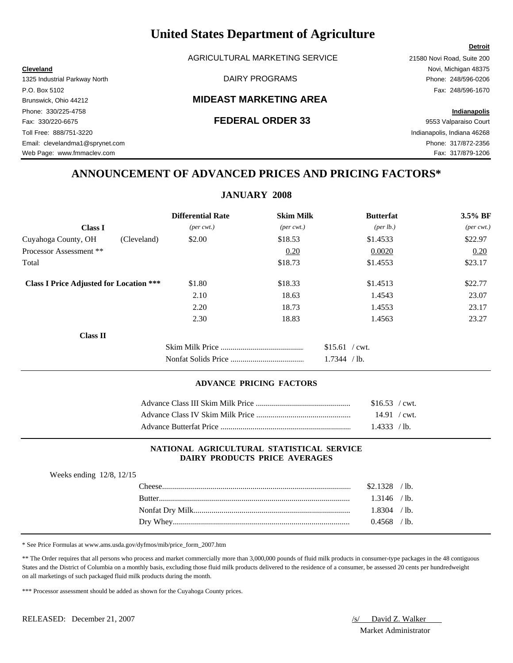AGRICULTURAL MARKETING SERVICE 21580 Novi Road, Suite 200

### Brunswick, Ohio 44212 **MIDEAST MARKETING AREA**

## **ANNOUNCEMENT OF ADVANCED PRICES AND PRICING FACTORS\***

### **JANUARY 2008**

|                                                | <b>Differential Rate</b>    | <b>Skim Milk</b>            | <b>Butterfat</b>  | 3.5% BF                     |
|------------------------------------------------|-----------------------------|-----------------------------|-------------------|-----------------------------|
| <b>Class I</b>                                 | $(\text{per} \text{ cwt.})$ | $(\text{per} \text{ cwt.})$ | (per lb.)         | $(\text{per} \text{ cwt.})$ |
| Cuyahoga County, OH<br>(Cleveland)             | \$2.00                      | \$18.53                     | \$1.4533          | \$22.97                     |
| Processor Assessment **                        |                             | 0.20                        | 0.0020            | 0.20                        |
| Total                                          |                             | \$18.73                     | \$1.4553          | \$23.17                     |
| <b>Class I Price Adjusted for Location ***</b> | \$1.80                      | \$18.33                     | \$1.4513          | \$22.77                     |
|                                                | 2.10                        | 18.63                       | 1.4543            | 23.07                       |
|                                                | 2.20                        | 18.73                       | 1.4553            | 23.17                       |
|                                                | 2.30                        | 18.83                       | 1.4563            | 23.27                       |
| <b>Class II</b>                                |                             |                             |                   |                             |
|                                                |                             |                             | $$15.61$ / cwt.   |                             |
|                                                |                             |                             | 1.7344<br>$/$ lb. |                             |

#### **ADVANCE PRICING FACTORS**

|                                             | $$16.53$ / cwt. |  |
|---------------------------------------------|-----------------|--|
|                                             |                 |  |
| Advance Butterfat Price <b>Example 2018</b> | 1.4333 / lb.    |  |

#### **NATIONAL AGRICULTURAL STATISTICAL SERVICE DAIRY PRODUCTS PRICE AVERAGES**

| Weeks ending $12/8$ , $12/15$ |                |
|-------------------------------|----------------|
|                               | $$2.1328$ /lb. |
| <b>Rutter</b>                 | $1.3146$ /lb.  |
|                               | $1.8304$ /lb.  |
|                               | $0.4568$ /lb.  |

\* See Price Formulas at www.ams.usda.gov/dyfmos/mib/price\_form\_2007.htm

\*\* The Order requires that all persons who process and market commercially more than 3,000,000 pounds of fluid milk products in consumer-type packages in the 48 contiguous States and the District of Columbia on a monthly basis, excluding those fluid milk products delivered to the residence of a consumer, be assessed 20 cents per hundredweight on all marketings of such packaged fluid milk products during the month.

\*\*\* Processor assessment should be added as shown for the Cuyahoga County prices.

Market Administrator

#### **Detroit**

**Cleveland** Novi, Michigan 48375 1325 Industrial Parkway North DAIRY PROGRAMS Phone: 248/596-0206 P.O. Box 5102 Fax: 248/596-1670 Phone: 330/225-4758 **Indianapolis** Fax: 330/220-6675 **FEDERAL ORDER 33** 9553 Valparaiso Court Toll Free: 888/751-3220 Indianapolis, Indiana 46268 Email: clevelandma1@sprynet.com Phone: 317/872-2356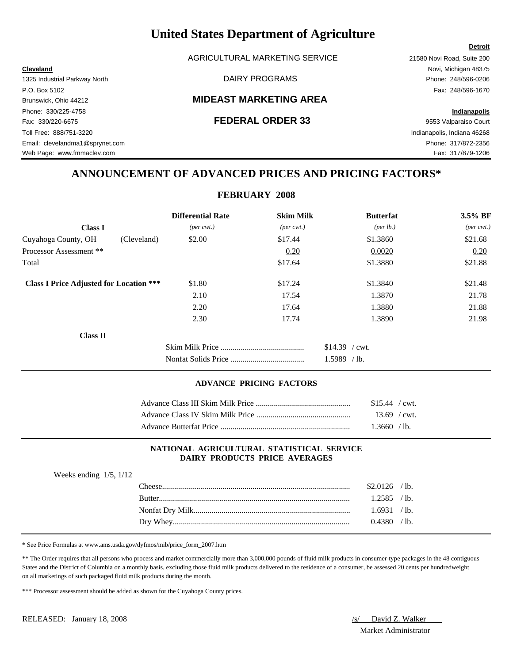AGRICULTURAL MARKETING SERVICE 21580 Novi Road, Suite 200

### Brunswick, Ohio 44212 **MIDEAST MARKETING AREA**

Web Page: www.fmmaclev.com Fax: 317/879-1206

## **ANNOUNCEMENT OF ADVANCED PRICES AND PRICING FACTORS\***

### **FEBRUARY 2008**

|                                                | <b>Differential Rate</b>    | <b>Skim Milk</b>            | <b>Butterfat</b>   | 3.5% BF                     |
|------------------------------------------------|-----------------------------|-----------------------------|--------------------|-----------------------------|
| <b>Class I</b>                                 | $(\text{per} \text{ cwt.})$ | $(\text{per} \text{ cwt.})$ | $(\text{per lb.})$ | $(\text{per} \text{ cwt.})$ |
| Cuyahoga County, OH<br>(Cleveland)             | \$2.00                      | \$17.44                     | \$1.3860           | \$21.68                     |
| Processor Assessment **                        |                             | 0.20                        | 0.0020             | 0.20                        |
| Total                                          |                             | \$17.64                     | \$1.3880           | \$21.88                     |
| <b>Class I Price Adjusted for Location ***</b> | \$1.80                      | \$17.24                     | \$1.3840           | \$21.48                     |
|                                                | 2.10                        | 17.54                       | 1.3870             | 21.78                       |
|                                                | 2.20                        | 17.64                       | 1.3880             | 21.88                       |
|                                                | 2.30                        | 17.74                       | 1.3890             | 21.98                       |
| <b>Class II</b>                                |                             |                             |                    |                             |
|                                                |                             |                             | $$14.39$ / cwt.    |                             |
|                                                |                             |                             | 1.5989<br>$/$ lb.  |                             |

#### **ADVANCE PRICING FACTORS**

| $$15.44$ / cwt. |  |
|-----------------|--|
| $13.69$ / cwt.  |  |
| $1.3660$ / lb   |  |

#### **NATIONAL AGRICULTURAL STATISTICAL SERVICE DAIRY PRODUCTS PRICE AVERAGES**

| weeks ending $1/3$ , $1/12$ |               |                |  |
|-----------------------------|---------------|----------------|--|
|                             |               | $$2.0126$ /lb. |  |
|                             | <b>Butter</b> | $1.2585$ /lb.  |  |
|                             |               | 1.6931 / lb.   |  |
|                             |               | $0.4380$ /lb.  |  |
|                             |               |                |  |

\* See Price Formulas at www.ams.usda.gov/dyfmos/mib/price\_form\_2007.htm

\*\* The Order requires that all persons who process and market commercially more than 3,000,000 pounds of fluid milk products in consumer-type packages in the 48 contiguous States and the District of Columbia on a monthly basis, excluding those fluid milk products delivered to the residence of a consumer, be assessed 20 cents per hundredweight on all marketings of such packaged fluid milk products during the month.

\*\*\* Processor assessment should be added as shown for the Cuyahoga County prices.

Market Administrator

#### **Detroit**

**Cleveland** Novi, Michigan 48375 1325 Industrial Parkway North DAIRY PROGRAMS Phone: 248/596-0206 P.O. Box 5102 Fax: 248/596-1670 Phone: 330/225-4758 **Indianapolis** Fax: 330/220-6675 **FEDERAL ORDER 33** 9553 Valparaiso Court Toll Free: 888/751-3220 Indianapolis, Indiana 46268 Email: clevelandma1@sprynet.com Phone: 317/872-2356

Weeks ending 1/5, 1/12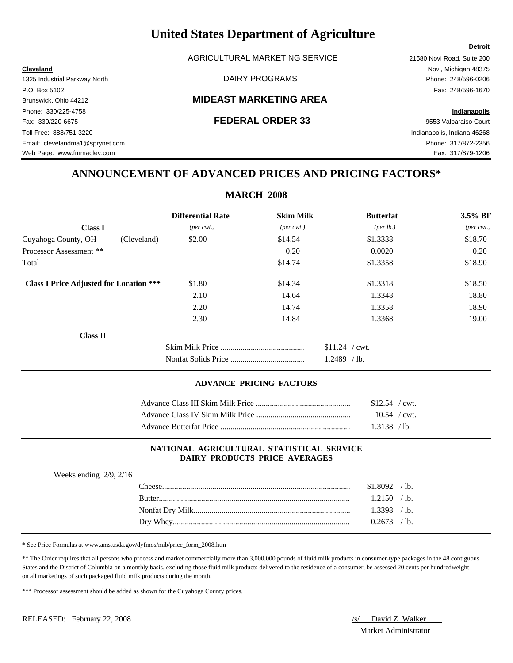AGRICULTURAL MARKETING SERVICE 21580 Novi Road, Suite 200

### Brunswick, Ohio 44212 **MIDEAST MARKETING AREA**

## **ANNOUNCEMENT OF ADVANCED PRICES AND PRICING FACTORS\***

|                                                |                             | <b>MARCH 2008</b>           |                  |                             |
|------------------------------------------------|-----------------------------|-----------------------------|------------------|-----------------------------|
|                                                | <b>Differential Rate</b>    | <b>Skim Milk</b>            | <b>Butterfat</b> | 3.5% BF                     |
| <b>Class I</b>                                 | $(\text{per} \text{ cwt.})$ | $(\text{per} \text{ cwt.})$ | (per lb.)        | $(\text{per} \text{ cwt.})$ |
| Cuyahoga County, OH                            | (Cleveland)<br>\$2.00       | \$14.54                     | \$1.3338         | \$18.70                     |
| Processor Assessment **                        |                             | 0.20                        | 0.0020           | 0.20                        |
| Total                                          |                             | \$14.74                     | \$1.3358         | \$18.90                     |
| <b>Class I Price Adjusted for Location ***</b> | \$1.80                      | \$14.34                     | \$1.3318         | \$18.50                     |
|                                                | 2.10                        | 14.64                       | 1.3348           | 18.80                       |
|                                                | 2.20                        | 14.74                       | 1.3358           | 18.90                       |
|                                                | 2.30                        | 14.84                       | 1.3368           | 19.00                       |
| <b>Class II</b>                                |                             |                             |                  |                             |
|                                                |                             |                             | $$11.24$ / cwt.  |                             |
|                                                |                             |                             | $1.2489$ /lb.    |                             |

#### **ADVANCE PRICING FACTORS**

| $$12.54$ / cwt. |  |
|-----------------|--|
| $10.54$ / cwt.  |  |
| $1.3138$ /lb.   |  |

#### **NATIONAL AGRICULTURAL STATISTICAL SERVICE DAIRY PRODUCTS PRICE AVERAGES**

| Weeks ending $2/9$ , $2/16$ |               |                |  |
|-----------------------------|---------------|----------------|--|
|                             |               | $$1.8092$ /lb. |  |
|                             | <b>Butter</b> | $1.2150$ /lb.  |  |
|                             |               | $1.3398$ /lb.  |  |
|                             |               | $0.2673$ /lb.  |  |
|                             |               |                |  |

\* See Price Formulas at www.ams.usda.gov/dyfmos/mib/price\_form\_2008.htm

\*\* The Order requires that all persons who process and market commercially more than 3,000,000 pounds of fluid milk products in consumer-type packages in the 48 contiguous States and the District of Columbia on a monthly basis, excluding those fluid milk products delivered to the residence of a consumer, be assessed 20 cents per hundredweight on all marketings of such packaged fluid milk products during the month.

\*\*\* Processor assessment should be added as shown for the Cuyahoga County prices.

Market Administrator

### **Detroit**

**Cleveland** Novi, Michigan 48375 1325 Industrial Parkway North DAIRY PROGRAMS Phone: 248/596-0206 P.O. Box 5102 Fax: 248/596-1670 Phone: 330/225-4758 **Indianapolis** Fax: 330/220-6675 **FEDERAL ORDER 33** 9553 Valparaiso Court Toll Free: 888/751-3220 Indianapolis, Indiana 46268 Email: clevelandma1@sprynet.com Phone: 317/872-2356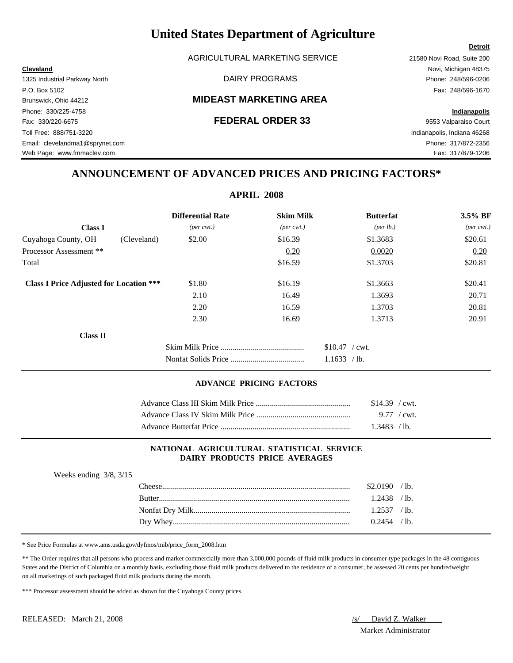AGRICULTURAL MARKETING SERVICE 21580 Novi Road, Suite 200

### Brunswick, Ohio 44212 **MIDEAST MARKETING AREA**

## **ANNOUNCEMENT OF ADVANCED PRICES AND PRICING FACTORS\***

|                                                |                             | <b>APRIL 2008</b>           |                   |                             |
|------------------------------------------------|-----------------------------|-----------------------------|-------------------|-----------------------------|
|                                                | <b>Differential Rate</b>    | <b>Skim Milk</b>            | <b>Butterfat</b>  | 3.5% BF                     |
| <b>Class I</b>                                 | $(\text{per} \text{ cwt.})$ | $(\text{per} \text{ cwt.})$ | (per lb.)         | $(\text{per} \text{ cwt.})$ |
| Cuyahoga County, OH<br>(Cleveland)             | \$2.00                      | \$16.39                     | \$1.3683          | \$20.61                     |
| Processor Assessment **                        |                             | 0.20                        | 0.0020            | 0.20                        |
| Total                                          |                             | \$16.59                     | \$1.3703          | \$20.81                     |
| <b>Class I Price Adjusted for Location ***</b> | \$1.80                      | \$16.19                     | \$1.3663          | \$20.41                     |
|                                                | 2.10                        | 16.49                       | 1.3693            | 20.71                       |
|                                                | 2.20                        | 16.59                       | 1.3703            | 20.81                       |
|                                                | 2.30                        | 16.69                       | 1.3713            | 20.91                       |
| Class II                                       |                             |                             |                   |                             |
|                                                |                             |                             | $$10.47$ / cwt.   |                             |
|                                                |                             |                             | 1.1633<br>$/$ lb. |                             |

#### **ADVANCE PRICING FACTORS**

|                                                                          | $$14.39$ / cwt. |  |
|--------------------------------------------------------------------------|-----------------|--|
|                                                                          |                 |  |
| Advance Butterfat Price <b>Server Server Server Server Server Server</b> | 1.3483 / lb.    |  |

#### **NATIONAL AGRICULTURAL STATISTICAL SERVICE DAIRY PRODUCTS PRICE AVERAGES**

| Weeks ending $3/8$ , $3/15$ |          |                |  |
|-----------------------------|----------|----------------|--|
|                             | ``heese_ | \$2.0190 / lb. |  |
|                             |          | $1.2438$ /lb.  |  |
|                             |          | $1.2537$ /lb.  |  |
|                             |          | $0.2454$ /lb.  |  |

\* See Price Formulas at www.ams.usda.gov/dyfmos/mib/price\_form\_2008.htm

\*\* The Order requires that all persons who process and market commercially more than 3,000,000 pounds of fluid milk products in consumer-type packages in the 48 contiguous States and the District of Columbia on a monthly basis, excluding those fluid milk products delivered to the residence of a consumer, be assessed 20 cents per hundredweight on all marketings of such packaged fluid milk products during the month.

\*\*\* Processor assessment should be added as shown for the Cuyahoga County prices.

Market Administrator

### **Detroit**

**Cleveland** Novi, Michigan 48375 1325 Industrial Parkway North DAIRY PROGRAMS Phone: 248/596-0206 P.O. Box 5102 Fax: 248/596-1670 Phone: 330/225-4758 **Indianapolis** Fax: 330/220-6675 **FEDERAL ORDER 33** 9553 Valparaiso Court Toll Free: 888/751-3220 Indianapolis, Indiana 46268 Email: clevelandma1@sprynet.com Phone: 317/872-2356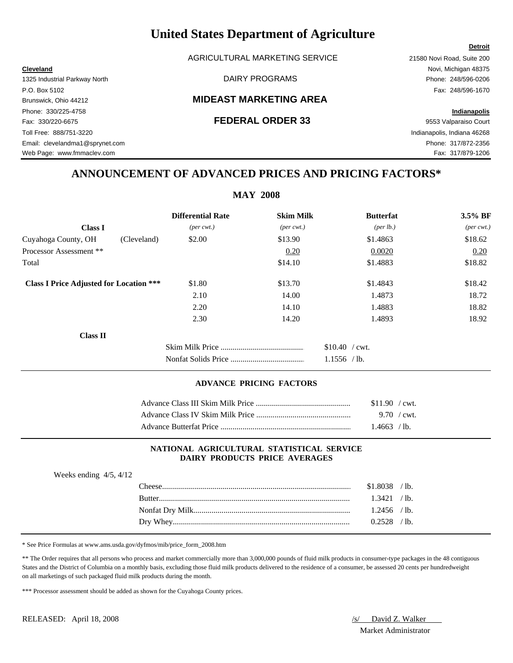AGRICULTURAL MARKETING SERVICE 21580 Novi Road, Suite 200

### Brunswick, Ohio 44212 **MIDEAST MARKETING AREA**

## **ANNOUNCEMENT OF ADVANCED PRICES AND PRICING FACTORS\***

|                                                |                             | <b>MAY 2008</b>             |                  |                             |
|------------------------------------------------|-----------------------------|-----------------------------|------------------|-----------------------------|
|                                                | <b>Differential Rate</b>    | <b>Skim Milk</b>            | <b>Butterfat</b> | 3.5% BF                     |
| <b>Class I</b>                                 | $(\text{per} \text{ cwt.})$ | $(\text{per} \text{ cwt.})$ | (per lb.)        | $(\text{per} \text{ cwt.})$ |
| Cuyahoga County, OH<br>(Cleveland)             | \$2.00                      | \$13.90                     | \$1.4863         | \$18.62                     |
| Processor Assessment **                        |                             | 0.20                        | 0.0020           | 0.20                        |
| Total                                          |                             | \$14.10                     | \$1.4883         | \$18.82                     |
| <b>Class I Price Adjusted for Location ***</b> | \$1.80                      | \$13.70                     | \$1.4843         | \$18.42                     |
|                                                | 2.10                        | 14.00                       | 1.4873           | 18.72                       |
|                                                | 2.20                        | 14.10                       | 1.4883           | 18.82                       |
|                                                | 2.30                        | 14.20                       | 1.4893           | 18.92                       |
| Class II                                       |                             |                             |                  |                             |
|                                                |                             |                             | $$10.40$ / cwt.  |                             |
|                                                |                             |                             | $1.1556$ /lb.    |                             |

#### **ADVANCE PRICING FACTORS**

|                                                                          | \$11.90 / cwt. |  |
|--------------------------------------------------------------------------|----------------|--|
|                                                                          | 9.70 / cwt.    |  |
| Advance Butterfat Price <b>Server Server Server Server Server Server</b> | 1.4663 /lb.    |  |

#### **NATIONAL AGRICULTURAL STATISTICAL SERVICE DAIRY PRODUCTS PRICE AVERAGES**

| Weeks ending $4/5$ , $4/12$ |               |                |  |
|-----------------------------|---------------|----------------|--|
|                             |               | $$1.8038$ /lb. |  |
|                             | <b>Butter</b> | 1.3421 / lb.   |  |
|                             |               | $1.2456$ /lb.  |  |
|                             |               | $0.2528$ /lb.  |  |

\* See Price Formulas at www.ams.usda.gov/dyfmos/mib/price\_form\_2008.htm

\*\* The Order requires that all persons who process and market commercially more than 3,000,000 pounds of fluid milk products in consumer-type packages in the 48 contiguous States and the District of Columbia on a monthly basis, excluding those fluid milk products delivered to the residence of a consumer, be assessed 20 cents per hundredweight on all marketings of such packaged fluid milk products during the month.

\*\*\* Processor assessment should be added as shown for the Cuyahoga County prices.

Market Administrator

### **Detroit**

**Cleveland** Novi, Michigan 48375 1325 Industrial Parkway North DAIRY PROGRAMS Phone: 248/596-0206 P.O. Box 5102 Fax: 248/596-1670 Phone: 330/225-4758 **Indianapolis** Fax: 330/220-6675 **FEDERAL ORDER 33** 9553 Valparaiso Court Toll Free: 888/751-3220 Indianapolis, Indiana 46268 Email: clevelandma1@sprynet.com Phone: 317/872-2356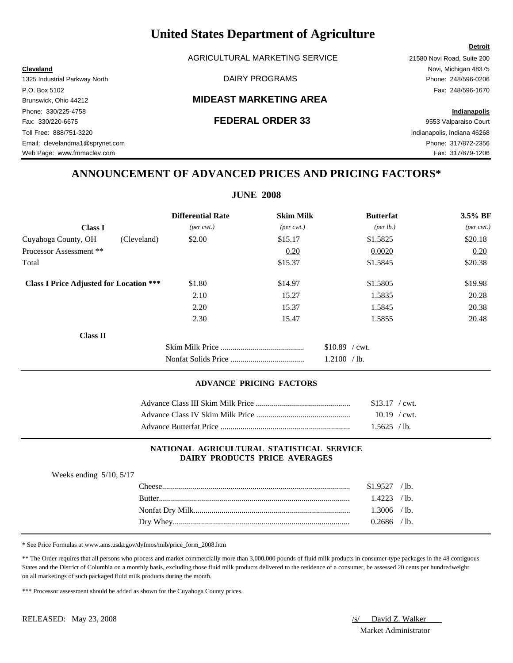AGRICULTURAL MARKETING SERVICE 21580 Novi Road, Suite 200

### Brunswick, Ohio 44212 **MIDEAST MARKETING AREA**

Email: clevelandma1@sprynet.com Phone: 317/872-2356 Web Page: www.fmmaclev.com Fax: 317/879-1206

## **ANNOUNCEMENT OF ADVANCED PRICES AND PRICING FACTORS\***

|                                                |                             | <b>JUNE 2008</b>            |                  |                             |
|------------------------------------------------|-----------------------------|-----------------------------|------------------|-----------------------------|
|                                                | <b>Differential Rate</b>    | <b>Skim Milk</b>            | <b>Butterfat</b> | 3.5% BF                     |
| <b>Class I</b>                                 | $(\text{per} \text{ cwt.})$ | $(\text{per} \text{ cwt.})$ | (per lb.)        | $(\text{per} \text{ cwt.})$ |
| Cuyahoga County, OH<br>(Cleveland)             | \$2.00                      | \$15.17                     | \$1.5825         | \$20.18                     |
| Processor Assessment **                        |                             | 0.20                        | 0.0020           | 0.20                        |
| Total                                          |                             | \$15.37                     | \$1.5845         | \$20.38                     |
| <b>Class I Price Adjusted for Location ***</b> | \$1.80                      | \$14.97                     | \$1.5805         | \$19.98                     |
|                                                | 2.10                        | 15.27                       | 1.5835           | 20.28                       |
|                                                | 2.20                        | 15.37                       | 1.5845           | 20.38                       |
|                                                | 2.30                        | 15.47                       | 1.5855           | 20.48                       |
| Class II                                       |                             |                             |                  |                             |
|                                                |                             |                             | $$10.89$ / cwt.  |                             |
|                                                |                             |                             | 1.2100 / lb.     |                             |

#### **ADVANCE PRICING FACTORS**

|                                                                          | $$13.17$ / cwt. |  |
|--------------------------------------------------------------------------|-----------------|--|
|                                                                          | $10.19$ / cwt.  |  |
| Advance Butterfat Price <b>Server Server Server Server Server Server</b> | $1.5625$ /lb.   |  |

#### **NATIONAL AGRICULTURAL STATISTICAL SERVICE DAIRY PRODUCTS PRICE AVERAGES**

| Weeks ending $5/10$ , $5/17$ |                |  |
|------------------------------|----------------|--|
|                              | $$1.9527$ /lb. |  |
| <b>Rutter</b>                | $1.4223$ /lb.  |  |
|                              | $1.3006$ /lb.  |  |
|                              | $0.2686$ /lb.  |  |

\* See Price Formulas at www.ams.usda.gov/dyfmos/mib/price\_form\_2008.htm

\*\* The Order requires that all persons who process and market commercially more than 3,000,000 pounds of fluid milk products in consumer-type packages in the 48 contiguous States and the District of Columbia on a monthly basis, excluding those fluid milk products delivered to the residence of a consumer, be assessed 20 cents per hundredweight on all marketings of such packaged fluid milk products during the month.

\*\*\* Processor assessment should be added as shown for the Cuyahoga County prices.

Market Administrator

### **Detroit**

**Cleveland** Novi, Michigan 48375 1325 Industrial Parkway North DAIRY PROGRAMS Phone: 248/596-0206 P.O. Box 5102 Fax: 248/596-1670 Phone: 330/225-4758 **Indianapolis** Fax: 330/220-6675 **FEDERAL ORDER 33** 9553 Valparaiso Court Toll Free: 888/751-3220 Indianapolis, Indiana 46268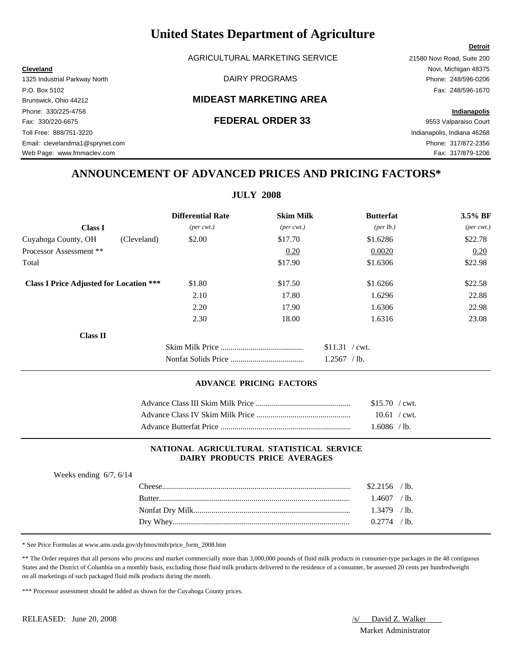AGRICULTURAL MARKETING SERVICE 21580 Novi Road, Suite 200

### Brunswick, Ohio 44212 **MIDEAST MARKETING AREA**

## **ANNOUNCEMENT OF ADVANCED PRICES AND PRICING FACTORS\***

|                                                |                             | <b>JULY 2008</b>            |                    |                             |
|------------------------------------------------|-----------------------------|-----------------------------|--------------------|-----------------------------|
|                                                | <b>Differential Rate</b>    | <b>Skim Milk</b>            | <b>Butterfat</b>   | 3.5% BF                     |
| <b>Class I</b>                                 | $(\text{per} \text{ cwt.})$ | $(\text{per} \text{ cwt.})$ | $(\text{per lb.})$ | $(\text{per} \text{ cwt.})$ |
| Cuyahoga County, OH<br>(Cleveland)             | \$2.00                      | \$17.70                     | \$1.6286           | \$22.78                     |
| Processor Assessment **                        |                             | 0.20                        | 0.0020             | 0.20                        |
| Total                                          |                             | \$17.90                     | \$1.6306           | \$22.98                     |
| <b>Class I Price Adjusted for Location ***</b> | \$1.80                      | \$17.50                     | \$1.6266           | \$22.58                     |
|                                                | 2.10                        | 17.80                       | 1.6296             | 22.88                       |
|                                                | 2.20                        | 17.90                       | 1.6306             | 22.98                       |
|                                                | 2.30                        | 18.00                       | 1.6316             | 23.08                       |
| Class II                                       |                             |                             |                    |                             |
|                                                |                             |                             | $$11.31$ / cwt.    |                             |
|                                                |                             |                             | 1.2567<br>$/$ lb.  |                             |

#### **ADVANCE PRICING FACTORS**

| $$15.70$ / cwt. |  |
|-----------------|--|
| $10.61$ / cwt.  |  |
| 1.6086 / lb.    |  |

#### **NATIONAL AGRICULTURAL STATISTICAL SERVICE DAIRY PRODUCTS PRICE AVERAGES**

| Weeks ending $6/7$ , $6/14$ |               |                |  |
|-----------------------------|---------------|----------------|--|
|                             |               | $$2.2156$ /lb. |  |
|                             | <b>Rutter</b> | $.4607$ / lb.  |  |
|                             |               | $1.3479$ /lb.  |  |
|                             |               | $0.2774$ /lb.  |  |

\* See Price Formulas at www.ams.usda.gov/dyfmos/mib/price\_form\_2008.htm

\*\* The Order requires that all persons who process and market commercially more than 3,000,000 pounds of fluid milk products in consumer-type packages in the 48 contiguous States and the District of Columbia on a monthly basis, excluding those fluid milk products delivered to the residence of a consumer, be assessed 20 cents per hundredweight on all marketings of such packaged fluid milk products during the month.

\*\*\* Processor assessment should be added as shown for the Cuyahoga County prices.

Market Administrator

### **Detroit**

**Cleveland** Novi, Michigan 48375 1325 Industrial Parkway North DAIRY PROGRAMS Phone: 248/596-0206 P.O. Box 5102 Fax: 248/596-1670 Phone: 330/225-4758 **Indianapolis** Fax: 330/220-6675 **FEDERAL ORDER 33** 9553 Valparaiso Court Toll Free: 888/751-3220 Indianapolis, Indiana 46268 Email: clevelandma1@sprynet.com Phone: 317/872-2356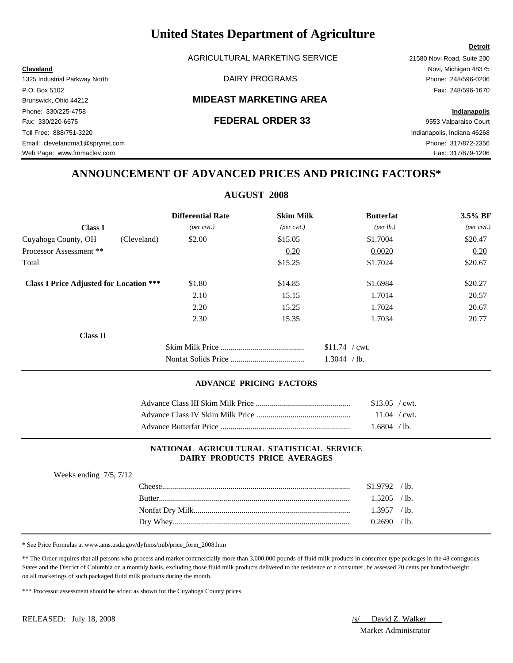AGRICULTURAL MARKETING SERVICE 21580 Novi Road, Suite 200

### Brunswick, Ohio 44212 **MIDEAST MARKETING AREA**

## **ANNOUNCEMENT OF ADVANCED PRICES AND PRICING FACTORS\***

### **AUGUST 2008**

|                                                | <b>Differential Rate</b>    | <b>Skim Milk</b>            | <b>Butterfat</b>  | 3.5% BF                     |
|------------------------------------------------|-----------------------------|-----------------------------|-------------------|-----------------------------|
| <b>Class I</b>                                 | $(\text{per} \text{ cwt.})$ | $(\text{per} \text{ cwt.})$ | (per lb.)         | $(\text{per} \text{ cwt.})$ |
| Cuyahoga County, OH<br>(Cleveland)             | \$2.00                      | \$15.05                     | \$1.7004          | \$20.47                     |
| Processor Assessment **                        |                             | 0.20                        | 0.0020            | 0.20                        |
| Total                                          |                             | \$15.25                     | \$1.7024          | \$20.67                     |
| <b>Class I Price Adjusted for Location ***</b> | \$1.80                      | \$14.85                     | \$1.6984          | \$20.27                     |
|                                                | 2.10                        | 15.15                       | 1.7014            | 20.57                       |
|                                                | 2.20                        | 15.25                       | 1.7024            | 20.67                       |
|                                                | 2.30                        | 15.35                       | 1.7034            | 20.77                       |
| Class II                                       |                             |                             |                   |                             |
|                                                |                             |                             | $$11.74$ / cwt.   |                             |
|                                                |                             |                             | 1.3044<br>$/$ lb. |                             |

#### **ADVANCE PRICING FACTORS**

| $$13.05$ / cwt. |  |
|-----------------|--|
| $11.04$ / cwt.  |  |
| $1.6804$ / lb.  |  |

#### **NATIONAL AGRICULTURAL STATISTICAL SERVICE DAIRY PRODUCTS PRICE AVERAGES**

| Weeks ending $7/5$ , $7/12$ |                |  |
|-----------------------------|----------------|--|
| ``heese_                    | $$1.9792$ /lb. |  |
|                             | $1.5205$ /lb.  |  |
|                             | $1.3957$ /lb.  |  |
|                             | $0.2690$ /lb.  |  |

\* See Price Formulas at www.ams.usda.gov/dyfmos/mib/price\_form\_2008.htm

\*\* The Order requires that all persons who process and market commercially more than 3,000,000 pounds of fluid milk products in consumer-type packages in the 48 contiguous States and the District of Columbia on a monthly basis, excluding those fluid milk products delivered to the residence of a consumer, be assessed 20 cents per hundredweight on all marketings of such packaged fluid milk products during the month.

\*\*\* Processor assessment should be added as shown for the Cuyahoga County prices.

Market Administrator

### **Detroit**

**Cleveland** Novi, Michigan 48375 1325 Industrial Parkway North DAIRY PROGRAMS Phone: 248/596-0206 P.O. Box 5102 Fax: 248/596-1670 Phone: 330/225-4758 **Indianapolis** Fax: 330/220-6675 **FEDERAL ORDER 33** 9553 Valparaiso Court Toll Free: 888/751-3220 Indianapolis, Indiana 46268 Email: clevelandma1@sprynet.com Phone: 317/872-2356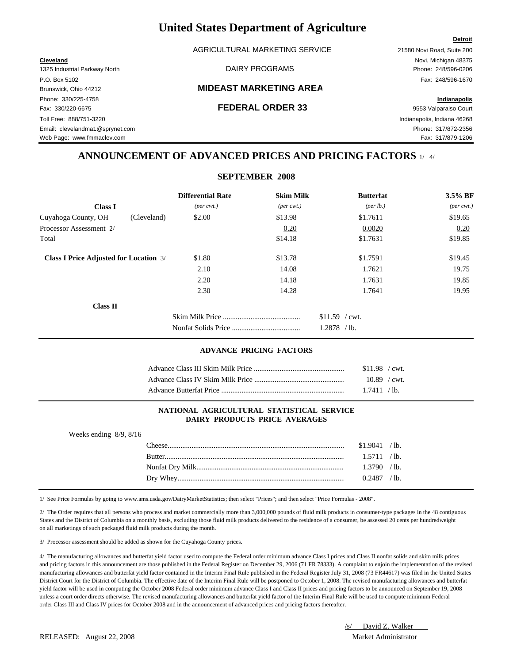AGRICULTURAL MARKETING SERVICE 21580 Novi Road, Suite 200

1325 Industrial Parkway North DAIRY PROGRAMS Phone: 248/596-0206 P.O. Box 5102 Fax: 248/596-1670 Phone: 330/225-4758 **Indianapolis** Fax: 330/220-6675 **FEDERAL ORDER 33** 9553 Valparaiso Court Toll Free: 888/751-3220 Indianapolis, Indiana 46268 Email: clevelandma1@sprynet.com Phone: 317/872-2356

#### Brunswick, Ohio 44212 **MIDEAST MARKETING AREA**

**Cleveland** Novi, Michigan 48375

Web Page: www.fmmaclev.com example of the state of the state of the state of the state of the state of the state of the state of the state of the state of the state of the state of the state of the state of the state of th

### **ANNOUNCEMENT OF ADVANCED PRICES AND PRICING FACTORS** 1/ 4/

|                                               | <b>Differential Rate</b>    | <b>Skim Milk</b>            | <b>Butterfat</b>               | 3.5% BF                     |
|-----------------------------------------------|-----------------------------|-----------------------------|--------------------------------|-----------------------------|
| <b>Class I</b>                                | $(\text{per} \text{ cwt.})$ | $(\text{per} \text{ cwt.})$ | ${\rm (per \, lb.)}$           | $(\text{per} \text{ cwt.})$ |
| Cuyahoga County, OH<br>(Cleveland)            | \$2.00                      | \$13.98                     | \$1.7611                       | \$19.65                     |
| Processor Assessment 2/                       |                             | 0.20                        | 0.0020                         | 0.20                        |
| Total                                         |                             | \$14.18                     | \$1.7631                       | \$19.85                     |
| <b>Class I Price Adjusted for Location 3/</b> | \$1.80                      | \$13.78                     | \$1.7591                       | \$19.45                     |
|                                               | 2.10                        | 14.08                       | 1.7621                         | 19.75                       |
|                                               | 2.20                        | 14.18                       | 1.7631                         | 19.85                       |
|                                               | 2.30                        | 14.28                       | 1.7641                         | 19.95                       |
| <b>Class II</b>                               |                             |                             |                                |                             |
|                                               |                             |                             | \$11.59<br>$\sqrt{\rm{cwt}}$ . |                             |
|                                               |                             |                             | 1.2878<br>$/$ lb.              |                             |

#### **ADVANCE PRICING FACTORS**

| $$11.98$ / cwt. |
|-----------------|
| $10.89$ / cwt.  |
| 1.7411 / lb.    |

#### **NATIONAL AGRICULTURAL STATISTICAL SERVICE DAIRY PRODUCTS PRICE AVERAGES**

Weeks ending 8/9, 8/16

| `heese        | \$1.9041 | $^{\prime}$ lb. |
|---------------|----------|-----------------|
| <b>Butter</b> |          | $^{\prime}$ lb. |
|               | .3790    | $^{\prime}$ lb. |
|               | 0.2487   | $^{\prime}$ lb. |

1/ See Price Formulas by going to www.ams.usda.gov/DairyMarketStatistics; then select "Prices"; and then select "Price Formulas - 2008".

2/ The Order requires that all persons who process and market commercially more than 3,000,000 pounds of fluid milk products in consumer-type packages in the 48 contiguous States and the District of Columbia on a monthly basis, excluding those fluid milk products delivered to the residence of a consumer, be assessed 20 cents per hundredweight on all marketings of such packaged fluid milk products during the month.

3/ Processor assessment should be added as shown for the Cuyahoga County prices.

4/ The manufacturing allowances and butterfat yield factor used to compute the Federal order minimum advance Class I prices and Class II nonfat solids and skim milk prices and pricing factors in this announcement are those published in the Federal Register on December 29, 2006 (71 FR 78333). A complaint to enjoin the implementation of the revised manufacturing allowances and butterfat yield factor contained in the Interim Final Rule published in the Federal Register July 31, 2008 (73 FR44617) was filed in the United States District Court for the District of Columbia. The effective date of the Interim Final Rule will be postponed to October 1, 2008. The revised manufacturing allowances and butterfat yield factor will be used in computing the October 2008 Federal order minimum advance Class I and Class II prices and pricing factors to be announced on September 19, 2008 unless a court order directs otherwise. The revised manufacturing allowances and butterfat yield factor of the Interim Final Rule will be used to compute minimum Federal order Class III and Class IV prices for October 2008 and in the announcement of advanced prices and pricing factors thereafter.

| /s/ | David Z. Walker |  |
|-----|-----------------|--|
|     |                 |  |

#### RELEASED: August 22, 2008 Market Administrator

**Detroit**

# **SEPTEMBER 2008**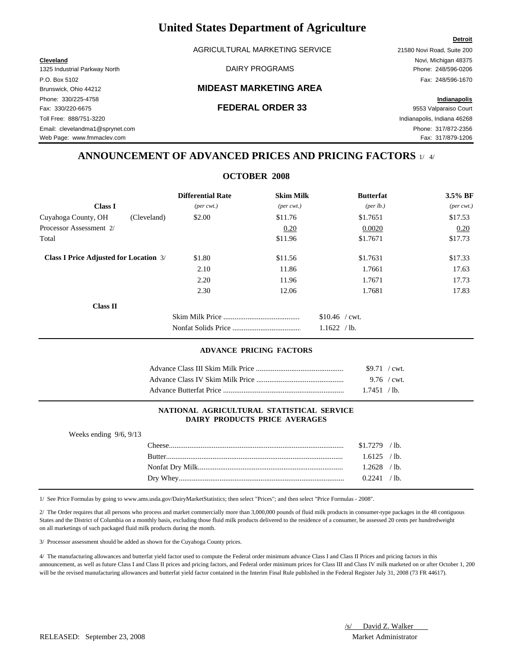AGRICULTURAL MARKETING SERVICE 21580 Novi Road, Suite 200

1325 Industrial Parkway North DAIRY PROGRAMS Phone: 248/596-0206 P.O. Box 5102 Fax: 248/596-1670 Phone: 330/225-4758 **Indianapolis** Fax: 330/220-6675 **FEDERAL ORDER 33** 9553 Valparaiso Court Toll Free: 888/751-3220 Indianapolis, Indiana 46268 Email: clevelandma1@sprynet.com Phone: 317/872-2356

#### Brunswick, Ohio 44212 **MIDEAST MARKETING AREA**

**Cleveland** Novi, Michigan 48375

**Detroit**

Web Page: www.fmmaclev.com example of the community of the community of the community of the community of the community of the community of the community of the community of the community of the community of the community

### **ANNOUNCEMENT OF ADVANCED PRICES AND PRICING FACTORS** 1/ 4/

**OCTOBER 2008**

|                                               | <b>Differential Rate</b>    | <b>Skim Milk</b>            | <b>Butterfat</b>     | $3.5\%$ BF                  |
|-----------------------------------------------|-----------------------------|-----------------------------|----------------------|-----------------------------|
| <b>Class I</b>                                | $(\text{per} \text{ cwt.})$ | $(\text{per} \text{ cwt.})$ | ${\rm (per \, lb.)}$ | $(\text{per} \text{ cwt.})$ |
| Cuyahoga County, OH<br>(Cleveland)            | \$2.00                      | \$11.76                     | \$1.7651             | \$17.53                     |
| Processor Assessment 2/                       |                             | 0.20                        | 0.0020               | 0.20                        |
| Total                                         |                             | \$11.96                     | \$1.7671             | \$17.73                     |
| <b>Class I Price Adjusted for Location 3/</b> | \$1.80                      | \$11.56                     | \$1.7631             | \$17.33                     |
|                                               | 2.10                        | 11.86                       | 1.7661               | 17.63                       |
|                                               | 2.20                        | 11.96                       | 1.7671               | 17.73                       |
|                                               | 2.30                        | 12.06                       | 1.7681               | 17.83                       |
| <b>Class II</b>                               |                             |                             |                      |                             |
|                                               |                             |                             | $$10.46$ / cwt.      |                             |
|                                               |                             |                             | 1.1622<br>$/1b$ .    |                             |

#### **ADVANCE PRICING FACTORS**

| \$9.71 / cwt. |  |
|---------------|--|
| 9.76 / cwt.   |  |
| 1.7451 / h    |  |

#### **NATIONAL AGRICULTURAL STATISTICAL SERVICE DAIRY PRODUCTS PRICE AVERAGES**

| Weeks ending $9/6$ , $9/13$ |                |  |
|-----------------------------|----------------|--|
|                             | $$1.7279$ /lb. |  |
|                             | $1.6125$ /lb.  |  |
|                             | $1.2628$ /lb.  |  |
|                             | $0.2241$ /lb.  |  |
|                             |                |  |

1/ See Price Formulas by going to www.ams.usda.gov/DairyMarketStatistics; then select "Prices"; and then select "Price Formulas - 2008".

2/ The Order requires that all persons who process and market commercially more than 3,000,000 pounds of fluid milk products in consumer-type packages in the 48 contiguous States and the District of Columbia on a monthly basis, excluding those fluid milk products delivered to the residence of a consumer, be assessed 20 cents per hundredweight on all marketings of such packaged fluid milk products during the month.

3/ Processor assessment should be added as shown for the Cuyahoga County prices.

4/ The manufacturing allowances and butterfat yield factor used to compute the Federal order minimum advance Class I and Class II Prices and pricing factors in this announcement, as well as future Class I and Class II prices and pricing factors, and Federal order minimum prices for Class III and Class IV milk marketed on or after October 1, 200 will be the revised manufacturing allowances and butterfat yield factor contained in the Interim Final Rule published in the Federal Register July 31, 2008 (73 FR 44617).

#### /s/ David Z. Walker

RELEASED: September 23, 2008 Market Administrator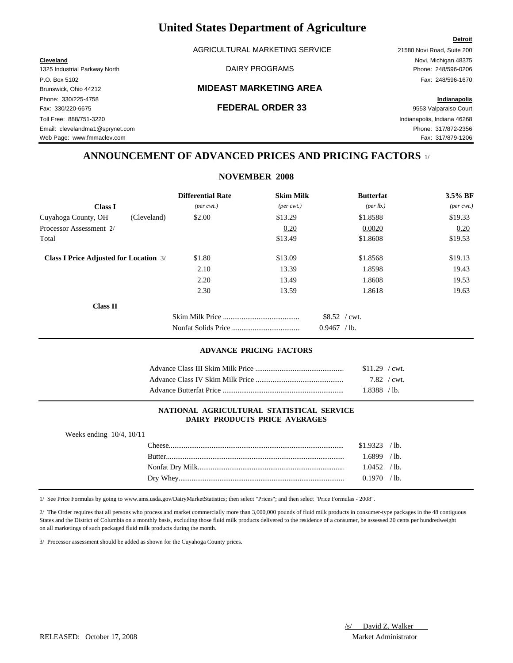AGRICULTURAL MARKETING SERVICE 21580 Novi Road, Suite 200

1325 Industrial Parkway North **National Parkway North Communist Communist Communist Communist Communist Communist Communist Communist Communist Communist Phone: 248/596-0206** P.O. Box 5102 Fax: 248/596-1670 Phone: 330/225-4758 **Indianapolis** Fax: 330/220-6675 **FEDERAL ORDER 33** 9553 Valparaiso Court Toll Free: 888/751-3220 Indianapolis, Indiana 46268 Email: clevelandma1@sprynet.com Phone: 317/872-2356

#### Brunswick, Ohio 44212 **MIDEAST MARKETING AREA**

**Cleveland** Novi, Michigan 48375

**Detroit**

Web Page: www.fmmaclev.com example of the state of the state of the state of the state of the state of the state of the state of the state of the state of the state of the state of the state of the state of the state of th

### **ANNOUNCEMENT OF ADVANCED PRICES AND PRICING FACTORS** 1/

**NOVEMBER 2008**

|                                               | <b>Differential Rate</b>    | <b>Skim Milk</b>            | <b>Butterfat</b>  | 3.5% BF                     |
|-----------------------------------------------|-----------------------------|-----------------------------|-------------------|-----------------------------|
| <b>Class I</b>                                | $(\text{per} \text{ cwt.})$ | $(\text{per} \text{ cwt.})$ | (per lb.)         | $(\text{per} \text{ cwt.})$ |
| Cuyahoga County, OH<br>(Cleveland)            | \$2.00                      | \$13.29                     | \$1.8588          | \$19.33                     |
| Processor Assessment 2/                       |                             | 0.20                        | 0.0020            | 0.20                        |
| Total                                         |                             | \$13.49                     | \$1.8608          | \$19.53                     |
| <b>Class I Price Adjusted for Location 3/</b> | \$1.80                      | \$13.09                     | \$1.8568          | \$19.13                     |
|                                               | 2.10                        | 13.39                       | 1.8598            | 19.43                       |
|                                               | 2.20                        | 13.49                       | 1.8608            | 19.53                       |
|                                               | 2.30                        | 13.59                       | 1.8618            | 19.63                       |
| <b>Class II</b>                               |                             |                             |                   |                             |
|                                               |                             |                             | $$8.52$ / cwt.    |                             |
|                                               |                             |                             | 0.9467<br>$/$ lb. |                             |

#### **ADVANCE PRICING FACTORS**

|                         | $$11.29$ / cwt. |  |
|-------------------------|-----------------|--|
|                         | $7.82 / cwt$ .  |  |
| Advance Butterfat Price | 1.8388 / lb.    |  |

#### **NATIONAL AGRICULTURAL STATISTICAL SERVICE DAIRY PRODUCTS PRICE AVERAGES**

| Weeks ending $10/4$ , $10/11$ |        |                |  |
|-------------------------------|--------|----------------|--|
|                               |        | $$1.9323$ /lb. |  |
|                               | Rutter | $1.6899$ /lb.  |  |
|                               |        | $1.0452$ /lb.  |  |
|                               |        | $0.1970$ /lb.  |  |
|                               |        |                |  |

1/ See Price Formulas by going to www.ams.usda.gov/DairyMarketStatistics; then select "Prices"; and then select "Price Formulas - 2008".

2/ The Order requires that all persons who process and market commercially more than 3,000,000 pounds of fluid milk products in consumer-type packages in the 48 contiguous States and the District of Columbia on a monthly basis, excluding those fluid milk products delivered to the residence of a consumer, be assessed 20 cents per hundredweight on all marketings of such packaged fluid milk products during the month.

3/ Processor assessment should be added as shown for the Cuyahoga County prices.

RELEASED: October 17, 2008 Market Administrator